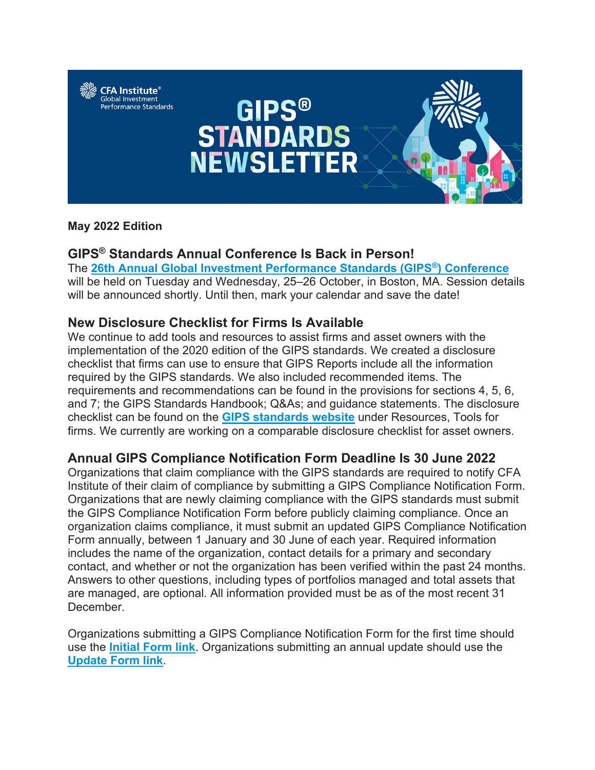

#### **May 2022 Edition**

# **GIPS® Standards Annual Conference Is Back in Person!**

The **[26th Annual Global Investment Performance Standards \(GIPS®\) Conference](https://nam12.safelinks.protection.outlook.com/?url=http%3A%2F%2Finfo.cfa-institute.info%2FMzU3LVRSSC05MzgAAAGEj_nNf2pb69baz9Yb24RewwpDCY5t5M4tQO2DvvpoGLY16U_F2JZJcNZLeip24UEUs6dolT8%3D&data=05%7C01%7Crobin.willis%40cfainstitute.org%7C9a745a80321844e6165c08da3cbc34b5%7C53a818f111e046388863b78b176399bd%7C1%7C0%7C637889076312266583%7CUnknown%7CTWFpbGZsb3d8eyJWIjoiMC4wLjAwMDAiLCJQIjoiV2luMzIiLCJBTiI6Ik1haWwiLCJXVCI6Mn0%3D%7C3000%7C%7C%7C&sdata=nxgskrtjPEG4SSXHltUBosG9UKWDVMH6XJB3UlU9lFs%3D&reserved=0)** will be held on Tuesday and Wednesday, 25–26 October, in Boston, MA. Session details will be announced shortly. Until then, mark your calendar and save the date!

# **New Disclosure Checklist for Firms Is Available**

We continue to add tools and resources to assist firms and asset owners with the implementation of the 2020 edition of the GIPS standards. We created a disclosure checklist that firms can use to ensure that GIPS Reports include all the information required by the GIPS standards. We also included recommended items. The requirements and recommendations can be found in the provisions for sections 4, 5, 6, and 7; the GIPS Standards Handbook; Q&As; and guidance statements. The disclosure checklist can be found on the **[GIPS standards website](https://nam12.safelinks.protection.outlook.com/?url=http%3A%2F%2Finfo.cfa-institute.info%2FMzU3LVRSSC05MzgAAAGEj_nNf3MpEK4kB9KxnR8hCKh-8k0nfWiagd5EovbKQJfFECduZQmgPtsYp9N_kuSbrbcFilc%3D&data=05%7C01%7Crobin.willis%40cfainstitute.org%7C9a745a80321844e6165c08da3cbc34b5%7C53a818f111e046388863b78b176399bd%7C1%7C0%7C637889076312266583%7CUnknown%7CTWFpbGZsb3d8eyJWIjoiMC4wLjAwMDAiLCJQIjoiV2luMzIiLCJBTiI6Ik1haWwiLCJXVCI6Mn0%3D%7C3000%7C%7C%7C&sdata=JuyYLO3HZtBoEBuPdZrZpInoTRBBRk8yrvL1beqtzYo%3D&reserved=0)** under Resources, Tools for firms. We currently are working on a comparable disclosure checklist for asset owners.

# **Annual GIPS Compliance Notification Form Deadline Is 30 June 2022**

Organizations that claim compliance with the GIPS standards are required to notify CFA Institute of their claim of compliance by submitting a GIPS Compliance Notification Form. Organizations that are newly claiming compliance with the GIPS standards must submit the GIPS Compliance Notification Form before publicly claiming compliance. Once an organization claims compliance, it must submit an updated GIPS Compliance Notification Form annually, between 1 January and 30 June of each year. Required information includes the name of the organization, contact details for a primary and secondary contact, and whether or not the organization has been verified within the past 24 months. Answers to other questions, including types of portfolios managed and total assets that are managed, are optional. All information provided must be as of the most recent 31 December.

Organizations submitting a GIPS Compliance Notification Form for the first time should use the **[Initial Form link](https://nam12.safelinks.protection.outlook.com/?url=http%3A%2F%2Finfo.cfa-institute.info%2FMzU3LVRSSC05MzgAAAGEj_nNf-eBkmoZM_OpV4DFS7GUweyErJgBAvtnbGmrJ8NexTQEBG70-4yOgNnfi1D8HplaHfs%3D&data=05%7C01%7Crobin.willis%40cfainstitute.org%7C9a745a80321844e6165c08da3cbc34b5%7C53a818f111e046388863b78b176399bd%7C1%7C0%7C637889076312266583%7CUnknown%7CTWFpbGZsb3d8eyJWIjoiMC4wLjAwMDAiLCJQIjoiV2luMzIiLCJBTiI6Ik1haWwiLCJXVCI6Mn0%3D%7C3000%7C%7C%7C&sdata=IQfIWVm1Go%2BRqJPoma4vcEkte2A66wnz1zB9edlsb0Q%3D&reserved=0)**. Organizations submitting an annual update should use the **[Update Form link](https://nam12.safelinks.protection.outlook.com/?url=http%3A%2F%2Finfo.cfa-institute.info%2FMzU3LVRSSC05MzgAAAGEj_nNf_TwgL_fGNDDF15gGakieqU3iWteCOzEuvwJJ2oJKvkPUHdyQv-XHqYyeWVDHWtVewo%3D&data=05%7C01%7Crobin.willis%40cfainstitute.org%7C9a745a80321844e6165c08da3cbc34b5%7C53a818f111e046388863b78b176399bd%7C1%7C0%7C637889076312266583%7CUnknown%7CTWFpbGZsb3d8eyJWIjoiMC4wLjAwMDAiLCJQIjoiV2luMzIiLCJBTiI6Ik1haWwiLCJXVCI6Mn0%3D%7C3000%7C%7C%7C&sdata=g8dU5XPCDbhfGPq6lGoNSlefwg43dIhM%2F%2Forxor5iTc%3D&reserved=0)**.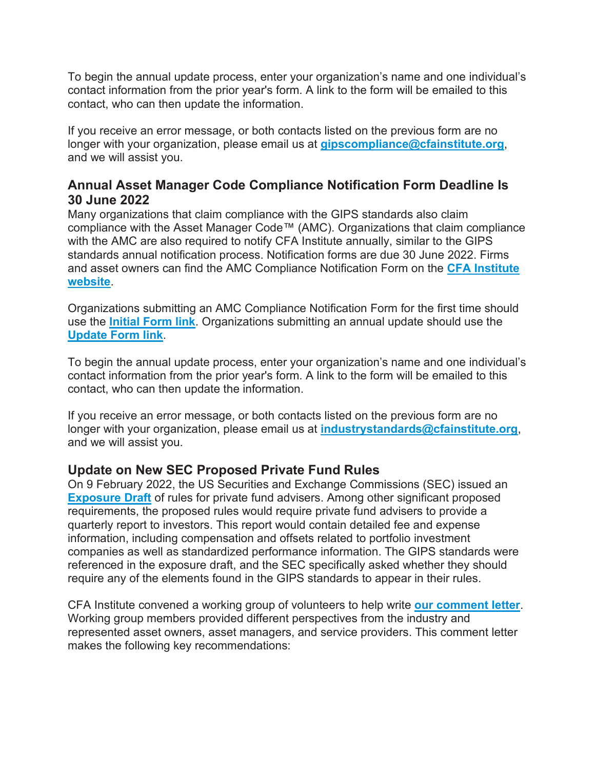To begin the annual update process, enter your organization's name and one individual's contact information from the prior year's form. A link to the form will be emailed to this contact, who can then update the information.

If you receive an error message, or both contacts listed on the previous form are no longer with your organization, please email us at **[gipscompliance@cfainstitute.org](https://nam12.safelinks.protection.outlook.com/?url=http%3A%2F%2Finfo.cfa-institute.info%2FMzU3LVRSSC05MzgAAAGEj_nNfy_b5aK1ZKwZ9MA3yfxPgC8A97lNxyzXEirc-2bbfP9wZqZi6cgfwXi5xxrbwWLnBqI%3D&data=05%7C01%7Crobin.willis%40cfainstitute.org%7C9a745a80321844e6165c08da3cbc34b5%7C53a818f111e046388863b78b176399bd%7C1%7C0%7C637889076312266583%7CUnknown%7CTWFpbGZsb3d8eyJWIjoiMC4wLjAwMDAiLCJQIjoiV2luMzIiLCJBTiI6Ik1haWwiLCJXVCI6Mn0%3D%7C3000%7C%7C%7C&sdata=Vaev6gIdyi%2FNNQamTevkAMqYl12M0EqzWSBGjP3bowY%3D&reserved=0)**, and we will assist you.

# **Annual Asset Manager Code Compliance Notification Form Deadline Is 30 June 2022**

Many organizations that claim compliance with the GIPS standards also claim compliance with the Asset Manager Code™ (AMC). Organizations that claim compliance with the AMC are also required to notify CFA Institute annually, similar to the GIPS standards annual notification process. Notification forms are due 30 June 2022. Firms and asset owners can find the AMC Compliance Notification Form on the **[CFA Institute](https://nam12.safelinks.protection.outlook.com/?url=http%3A%2F%2Finfo.cfa-institute.info%2FMzU3LVRSSC05MzgAAAGEj_nNf1gIqSft25wXFnciIgY1rEJIDXhpN4VrmXpcyJw-9No9I7HRSAy0MvYKQSc6iXe4lvw%3D&data=05%7C01%7Crobin.willis%40cfainstitute.org%7C9a745a80321844e6165c08da3cbc34b5%7C53a818f111e046388863b78b176399bd%7C1%7C0%7C637889076312266583%7CUnknown%7CTWFpbGZsb3d8eyJWIjoiMC4wLjAwMDAiLCJQIjoiV2luMzIiLCJBTiI6Ik1haWwiLCJXVCI6Mn0%3D%7C3000%7C%7C%7C&sdata=6Oc0qMQKw4mLpvfWvvUEbhxgGvZrHdaZXMM3v%2FhVLRI%3D&reserved=0)  [website](https://nam12.safelinks.protection.outlook.com/?url=http%3A%2F%2Finfo.cfa-institute.info%2FMzU3LVRSSC05MzgAAAGEj_nNf1gIqSft25wXFnciIgY1rEJIDXhpN4VrmXpcyJw-9No9I7HRSAy0MvYKQSc6iXe4lvw%3D&data=05%7C01%7Crobin.willis%40cfainstitute.org%7C9a745a80321844e6165c08da3cbc34b5%7C53a818f111e046388863b78b176399bd%7C1%7C0%7C637889076312266583%7CUnknown%7CTWFpbGZsb3d8eyJWIjoiMC4wLjAwMDAiLCJQIjoiV2luMzIiLCJBTiI6Ik1haWwiLCJXVCI6Mn0%3D%7C3000%7C%7C%7C&sdata=6Oc0qMQKw4mLpvfWvvUEbhxgGvZrHdaZXMM3v%2FhVLRI%3D&reserved=0)**.

Organizations submitting an AMC Compliance Notification Form for the first time should use the **[Initial Form link](https://nam12.safelinks.protection.outlook.com/?url=http%3A%2F%2Finfo.cfa-institute.info%2FMzU3LVRSSC05MzgAAAGEj_nNf9cCYBGWN2OkEx32n8t8eYa5AbZrdAzTO-Ga6AgpWDlGBR-zv4j4gEJ6OQC80kG2NSw%3D&data=05%7C01%7Crobin.willis%40cfainstitute.org%7C9a745a80321844e6165c08da3cbc34b5%7C53a818f111e046388863b78b176399bd%7C1%7C0%7C637889076312266583%7CUnknown%7CTWFpbGZsb3d8eyJWIjoiMC4wLjAwMDAiLCJQIjoiV2luMzIiLCJBTiI6Ik1haWwiLCJXVCI6Mn0%3D%7C3000%7C%7C%7C&sdata=Uzv9GrtVuN0%2B5l2yfg%2BSOwxseGXOXEVjQMPtSy5ZmLo%3D&reserved=0)**. Organizations submitting an annual update should use the **[Update Form link](https://nam12.safelinks.protection.outlook.com/?url=http%3A%2F%2Finfo.cfa-institute.info%2FMzU3LVRSSC05MzgAAAGEj_nNf3mcYhEBdXRmj8lILLB1dQekA_YDuBlAf9IOpx3kjwDk5-x4SrYgictgvPa5Of5ixfc%3D&data=05%7C01%7Crobin.willis%40cfainstitute.org%7C9a745a80321844e6165c08da3cbc34b5%7C53a818f111e046388863b78b176399bd%7C1%7C0%7C637889076312422845%7CUnknown%7CTWFpbGZsb3d8eyJWIjoiMC4wLjAwMDAiLCJQIjoiV2luMzIiLCJBTiI6Ik1haWwiLCJXVCI6Mn0%3D%7C3000%7C%7C%7C&sdata=tqKPhNhgDDESIAlB%2FgWqilGwRqEWT6XBC%2FyrGn2Cw64%3D&reserved=0)**.

To begin the annual update process, enter your organization's name and one individual's contact information from the prior year's form. A link to the form will be emailed to this contact, who can then update the information.

If you receive an error message, or both contacts listed on the previous form are no longer with your organization, please email us at **[industrystandards@cfainstitute.org](https://nam12.safelinks.protection.outlook.com/?url=http%3A%2F%2Finfo.cfa-institute.info%2FMzU3LVRSSC05MzgAAAGEj_nNf_KviKlogOsvw3Iosby7gu2ZzKVcg1QIdSXuXDiqJoGe7UUXBYsYGS1XbAbl6QIlddI%3D&data=05%7C01%7Crobin.willis%40cfainstitute.org%7C9a745a80321844e6165c08da3cbc34b5%7C53a818f111e046388863b78b176399bd%7C1%7C0%7C637889076312422845%7CUnknown%7CTWFpbGZsb3d8eyJWIjoiMC4wLjAwMDAiLCJQIjoiV2luMzIiLCJBTiI6Ik1haWwiLCJXVCI6Mn0%3D%7C3000%7C%7C%7C&sdata=je1MYZxHuKA8W7r2eJbisK9xuDqK20XNj%2Bdv9pDagP8%3D&reserved=0)**, and we will assist you.

# **Update on New SEC Proposed Private Fund Rules**

On 9 February 2022, the US Securities and Exchange Commissions (SEC) issued an **[Exposure Draft](https://nam12.safelinks.protection.outlook.com/?url=http%3A%2F%2Finfo.cfa-institute.info%2FMzU3LVRSSC05MzgAAAGEj_nNf3kAYvaMj9Lte3XqTBZL_YCAP3gKsX3PCL26L7rv9FlNSOiGGkHU8lfhZhecYCEl7wE%3D&data=05%7C01%7Crobin.willis%40cfainstitute.org%7C9a745a80321844e6165c08da3cbc34b5%7C53a818f111e046388863b78b176399bd%7C1%7C0%7C637889076312422845%7CUnknown%7CTWFpbGZsb3d8eyJWIjoiMC4wLjAwMDAiLCJQIjoiV2luMzIiLCJBTiI6Ik1haWwiLCJXVCI6Mn0%3D%7C3000%7C%7C%7C&sdata=ie5dmvU40R%2BNMgA3e2jsR%2B7%2BPlogCz4awEC5BJ0BxrU%3D&reserved=0)** of rules for private fund advisers. Among other significant proposed requirements, the proposed rules would require private fund advisers to provide a quarterly report to investors. This report would contain detailed fee and expense information, including compensation and offsets related to portfolio investment companies as well as standardized performance information. The GIPS standards were referenced in the exposure draft, and the SEC specifically asked whether they should require any of the elements found in the GIPS standards to appear in their rules.

CFA Institute convened a working group of volunteers to help write **[our comment letter](https://nam12.safelinks.protection.outlook.com/?url=http%3A%2F%2Finfo.cfa-institute.info%2FMzU3LVRSSC05MzgAAAGEj_nNfwFQvDTT9MWDU3IigXqAylAHgbLkrf_CRkkyNleqd5giSY24nVscCLgX5O49UePAmYU%3D&data=05%7C01%7Crobin.willis%40cfainstitute.org%7C9a745a80321844e6165c08da3cbc34b5%7C53a818f111e046388863b78b176399bd%7C1%7C0%7C637889076312422845%7CUnknown%7CTWFpbGZsb3d8eyJWIjoiMC4wLjAwMDAiLCJQIjoiV2luMzIiLCJBTiI6Ik1haWwiLCJXVCI6Mn0%3D%7C3000%7C%7C%7C&sdata=ZHfzZL%2Bu565sa3R02TY9cP7pKJemHIxcZvSlqkCnQAs%3D&reserved=0)**. Working group members provided different perspectives from the industry and represented asset owners, asset managers, and service providers. This comment letter makes the following key recommendations: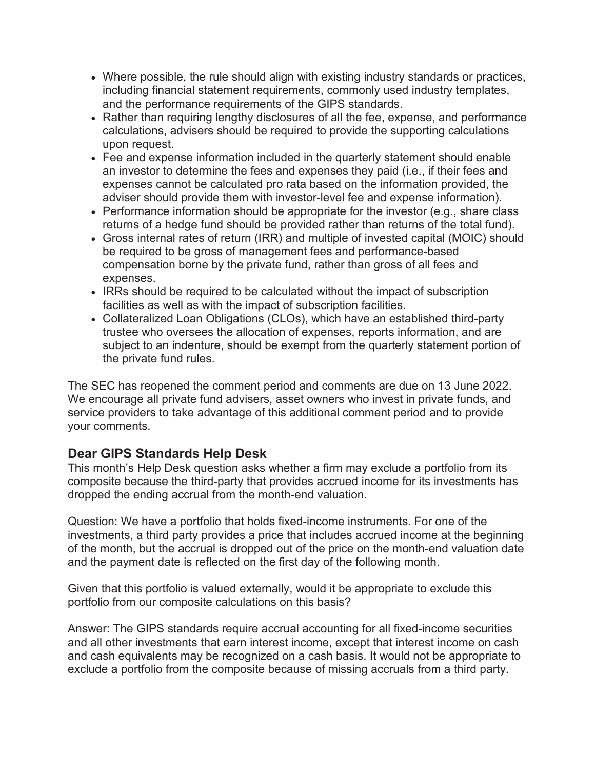- Where possible, the rule should align with existing industry standards or practices, including financial statement requirements, commonly used industry templates, and the performance requirements of the GIPS standards.
- Rather than requiring lengthy disclosures of all the fee, expense, and performance calculations, advisers should be required to provide the supporting calculations upon request.
- Fee and expense information included in the quarterly statement should enable an investor to determine the fees and expenses they paid (i.e., if their fees and expenses cannot be calculated pro rata based on the information provided, the adviser should provide them with investor-level fee and expense information).
- Performance information should be appropriate for the investor (e.g., share class returns of a hedge fund should be provided rather than returns of the total fund).
- Gross internal rates of return (IRR) and multiple of invested capital (MOIC) should be required to be gross of management fees and performance-based compensation borne by the private fund, rather than gross of all fees and expenses.
- IRRs should be required to be calculated without the impact of subscription facilities as well as with the impact of subscription facilities.
- Collateralized Loan Obligations (CLOs), which have an established third-party trustee who oversees the allocation of expenses, reports information, and are subject to an indenture, should be exempt from the quarterly statement portion of the private fund rules.

The SEC has reopened the comment period and comments are due on 13 June 2022. We encourage all private fund advisers, asset owners who invest in private funds, and service providers to take advantage of this additional comment period and to provide your comments.

# **Dear GIPS Standards Help Desk**

This month's Help Desk question asks whether a firm may exclude a portfolio from its composite because the third-party that provides accrued income for its investments has dropped the ending accrual from the month-end valuation.

Question: We have a portfolio that holds fixed-income instruments. For one of the investments, a third party provides a price that includes accrued income at the beginning of the month, but the accrual is dropped out of the price on the month-end valuation date and the payment date is reflected on the first day of the following month.

Given that this portfolio is valued externally, would it be appropriate to exclude this portfolio from our composite calculations on this basis?

Answer: The GIPS standards require accrual accounting for all fixed-income securities and all other investments that earn interest income, except that interest income on cash and cash equivalents may be recognized on a cash basis. It would not be appropriate to exclude a portfolio from the composite because of missing accruals from a third party.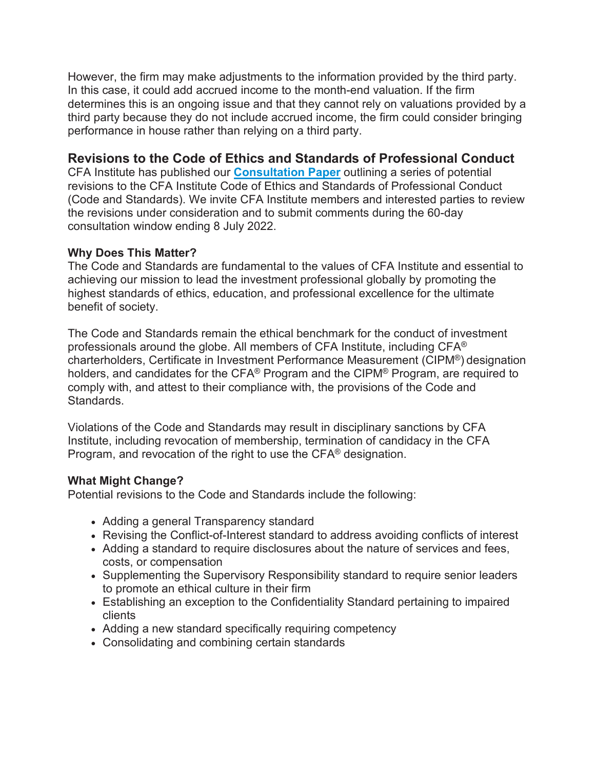However, the firm may make adjustments to the information provided by the third party. In this case, it could add accrued income to the month-end valuation. If the firm determines this is an ongoing issue and that they cannot rely on valuations provided by a third party because they do not include accrued income, the firm could consider bringing performance in house rather than relying on a third party.

#### **Revisions to the Code of Ethics and Standards of Professional Conduct**

CFA Institute has published our **[Consultation Paper](https://nam12.safelinks.protection.outlook.com/?url=http%3A%2F%2Finfo.cfa-institute.info%2FMzU3LVRSSC05MzgAAAGEj_nNf5MwTzuc-Vvoo4llPCDNa9F5m5mrWwylOyKfYVMtxn77TB_0D4fZXAW1ge5Ifz930q8%3D&data=05%7C01%7Crobin.willis%40cfainstitute.org%7C9a745a80321844e6165c08da3cbc34b5%7C53a818f111e046388863b78b176399bd%7C1%7C0%7C637889076312422845%7CUnknown%7CTWFpbGZsb3d8eyJWIjoiMC4wLjAwMDAiLCJQIjoiV2luMzIiLCJBTiI6Ik1haWwiLCJXVCI6Mn0%3D%7C3000%7C%7C%7C&sdata=%2BmKJkDUllfSR%2FgbAaNBQ0Tgwg6LvknYTtkE0oDhIy0I%3D&reserved=0)** outlining a series of potential revisions to the CFA Institute Code of Ethics and Standards of Professional Conduct (Code and Standards). We invite CFA Institute members and interested parties to review the revisions under consideration and to submit comments during the 60-day consultation window ending 8 July 2022.

#### **Why Does This Matter?**

The Code and Standards are fundamental to the values of CFA Institute and essential to achieving our mission to lead the investment professional globally by promoting the highest standards of ethics, education, and professional excellence for the ultimate benefit of society.

The Code and Standards remain the ethical benchmark for the conduct of investment professionals around the globe. All members of CFA Institute, including CFA® charterholders, Certificate in Investment Performance Measurement (CIPM®) designation holders, and candidates for the CFA® Program and the CIPM® Program, are required to comply with, and attest to their compliance with, the provisions of the Code and Standards.

Violations of the Code and Standards may result in disciplinary sanctions by CFA Institute, including revocation of membership, termination of candidacy in the CFA Program, and revocation of the right to use the CFA® designation.

#### **What Might Change?**

Potential revisions to the Code and Standards include the following:

- Adding a general Transparency standard
- Revising the Conflict-of-Interest standard to address avoiding conflicts of interest
- Adding a standard to require disclosures about the nature of services and fees, costs, or compensation
- Supplementing the Supervisory Responsibility standard to require senior leaders to promote an ethical culture in their firm
- Establishing an exception to the Confidentiality Standard pertaining to impaired clients
- Adding a new standard specifically requiring competency
- Consolidating and combining certain standards